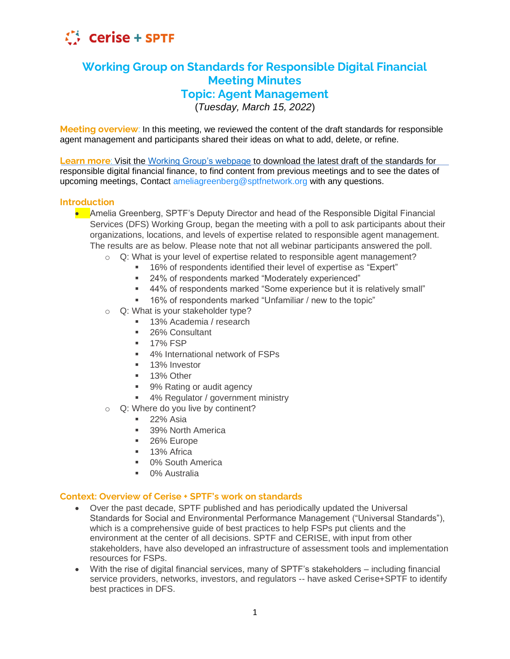

# **Working Group on Standards for Responsible Digital Financial Meeting Minutes Topic: Agent Management**

(*Tuesday, March 15, 2022*)

**Meeting overview**: In this meeting, we reviewed the content of the draft standards for responsible agent management and participants shared their ideas on what to add, delete, or refine.

**Learn more**: Visit the [Working Group's webpage](https://sptf.info/working-groups/dfs-standards) to download the latest draft of the standards for responsible digital financial finance, to find content from previous meetings and to see the dates of upcoming meetings, Contact ameliagreenberg@sptfnetwork.org with any questions.

# **Introduction**

- Amelia Greenberg, SPTF's Deputy Director and head of the Responsible Digital Financial Services (DFS) Working Group, began the meeting with a poll to ask participants about their organizations, locations, and levels of expertise related to responsible agent management. The results are as below. Please note that not all webinar participants answered the poll.
	- o Q: What is your level of expertise related to responsible agent management?
		- 16% of respondents identified their level of expertise as "Expert"
		- 24% of respondents marked "Moderately experienced"
		- 44% of respondents marked "Some experience but it is relatively small"
		- 16% of respondents marked "Unfamiliar / new to the topic"
	- o Q: What is your stakeholder type?
		- 13% Academia / research
		- 26% Consultant
		- 17% FSP
		- 4% International network of FSPs
		- **■** 13% Investor
		- 13% Other
		- 9% Rating or audit agency
		- 4% Regulator / government ministry
	- $\circ$  Q: Where do you live by continent?
		- $\blacksquare$  22% Asia
		- 39% North America
		- 26% Europe
		- 13% Africa
		- 0% South America
		- 0% Australia

# **Context: Overview of Cerise + SPTF's work on standards**

- Over the past decade, SPTF published and has periodically updated the Universal Standards for Social and Environmental Performance Management ("Universal Standards"), which is a comprehensive guide of best practices to help FSPs put clients and the environment at the center of all decisions. SPTF and CERISE, with input from other stakeholders, have also developed an infrastructure of assessment tools and implementation resources for FSPs.
- With the rise of digital financial services, many of SPTF's stakeholders including financial service providers, networks, investors, and regulators -- have asked Cerise+SPTF to identify best practices in DFS.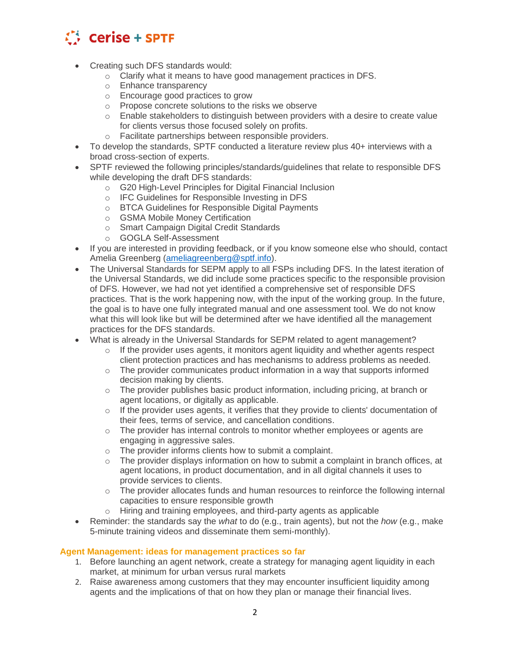

- Creating such DFS standards would:
	- o Clarify what it means to have good management practices in DFS.
	- o Enhance transparency
	- o Encourage good practices to grow
	- o Propose concrete solutions to the risks we observe
	- $\circ$  Enable stakeholders to distinguish between providers with a desire to create value for clients versus those focused solely on profits.
	- o Facilitate partnerships between responsible providers.
- To develop the standards, SPTF conducted a literature review plus 40+ interviews with a broad cross-section of experts.
- SPTF reviewed the following principles/standards/guidelines that relate to responsible DFS while developing the draft DFS standards:
	- o G20 High-Level Principles for Digital Financial Inclusion
	- o IFC Guidelines for Responsible Investing in DFS
	- o BTCA Guidelines for Responsible Digital Payments
	- o GSMA Mobile Money Certification
	- o Smart Campaign Digital Credit Standards
	- o GOGLA Self-Assessment
- If you are interested in providing feedback, or if you know someone else who should, contact Amelia Greenberg [\(ameliagreenberg@sptf.info\)](mailto:ameliagreenberg@sptf.info).
- The Universal Standards for SEPM apply to all FSPs including DFS. In the latest iteration of the Universal Standards, we did include some practices specific to the responsible provision of DFS. However, we had not yet identified a comprehensive set of responsible DFS practices. That is the work happening now, with the input of the working group. In the future, the goal is to have one fully integrated manual and one assessment tool. We do not know what this will look like but will be determined after we have identified all the management practices for the DFS standards.
- What is already in the Universal Standards for SEPM related to agent management?
	- $\circ$  If the provider uses agents, it monitors agent liquidity and whether agents respect client protection practices and has mechanisms to address problems as needed.
	- $\circ$  The provider communicates product information in a way that supports informed decision making by clients.
	- $\circ$  The provider publishes basic product information, including pricing, at branch or agent locations, or digitally as applicable.
	- $\circ$  If the provider uses agents, it verifies that they provide to clients' documentation of their fees, terms of service, and cancellation conditions.
	- $\circ$  The provider has internal controls to monitor whether employees or agents are engaging in aggressive sales.
	- o The provider informs clients how to submit a complaint.
	- $\circ$  The provider displays information on how to submit a complaint in branch offices, at agent locations, in product documentation, and in all digital channels it uses to provide services to clients.
	- $\circ$  The provider allocates funds and human resources to reinforce the following internal capacities to ensure responsible growth
	- o Hiring and training employees, and third-party agents as applicable
- Reminder: the standards say the *what* to do (e.g., train agents), but not the *how* (e.g., make 5-minute training videos and disseminate them semi-monthly).

## **Agent Management: ideas for management practices so far**

- 1. Before launching an agent network, create a strategy for managing agent liquidity in each market, at minimum for urban versus rural markets
- 2. Raise awareness among customers that they may encounter insufficient liquidity among agents and the implications of that on how they plan or manage their financial lives.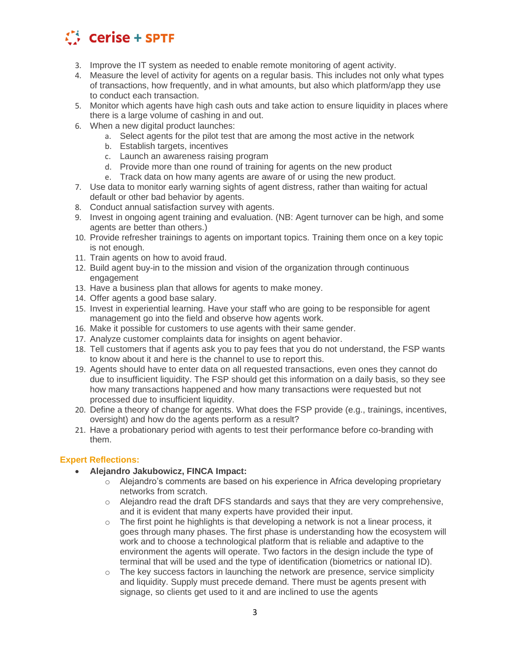

- 3. Improve the IT system as needed to enable remote monitoring of agent activity.
- 4. Measure the level of activity for agents on a regular basis. This includes not only what types of transactions, how frequently, and in what amounts, but also which platform/app they use to conduct each transaction.
- 5. Monitor which agents have high cash outs and take action to ensure liquidity in places where there is a large volume of cashing in and out.
- 6. When a new digital product launches:
	- a. Select agents for the pilot test that are among the most active in the network
	- b. Establish targets, incentives
	- c. Launch an awareness raising program
	- d. Provide more than one round of training for agents on the new product
	- e. Track data on how many agents are aware of or using the new product.
- 7. Use data to monitor early warning sights of agent distress, rather than waiting for actual default or other bad behavior by agents.
- 8. Conduct annual satisfaction survey with agents.
- 9. Invest in ongoing agent training and evaluation. (NB: Agent turnover can be high, and some agents are better than others.)
- 10. Provide refresher trainings to agents on important topics. Training them once on a key topic is not enough.
- 11. Train agents on how to avoid fraud.
- 12. Build agent buy-in to the mission and vision of the organization through continuous engagement
- 13. Have a business plan that allows for agents to make money.
- 14. Offer agents a good base salary.
- 15. Invest in experiential learning. Have your staff who are going to be responsible for agent management go into the field and observe how agents work.
- 16. Make it possible for customers to use agents with their same gender.
- 17. Analyze customer complaints data for insights on agent behavior.
- 18. Tell customers that if agents ask you to pay fees that you do not understand, the FSP wants to know about it and here is the channel to use to report this.
- 19. Agents should have to enter data on all requested transactions, even ones they cannot do due to insufficient liquidity. The FSP should get this information on a daily basis, so they see how many transactions happened and how many transactions were requested but not processed due to insufficient liquidity.
- 20. Define a theory of change for agents. What does the FSP provide (e.g., trainings, incentives, oversight) and how do the agents perform as a result?
- 21. Have a probationary period with agents to test their performance before co-branding with them.

## **Expert Reflections:**

- **Alejandro Jakubowicz, FINCA Impact:** 
	- $\circ$  Alejandro's comments are based on his experience in Africa developing proprietary networks from scratch.
	- $\circ$  Alejandro read the draft DFS standards and says that they are very comprehensive, and it is evident that many experts have provided their input.
	- $\circ$  The first point he highlights is that developing a network is not a linear process, it goes through many phases. The first phase is understanding how the ecosystem will work and to choose a technological platform that is reliable and adaptive to the environment the agents will operate. Two factors in the design include the type of terminal that will be used and the type of identification (biometrics or national ID).
	- o The key success factors in launching the network are presence, service simplicity and liquidity. Supply must precede demand. There must be agents present with signage, so clients get used to it and are inclined to use the agents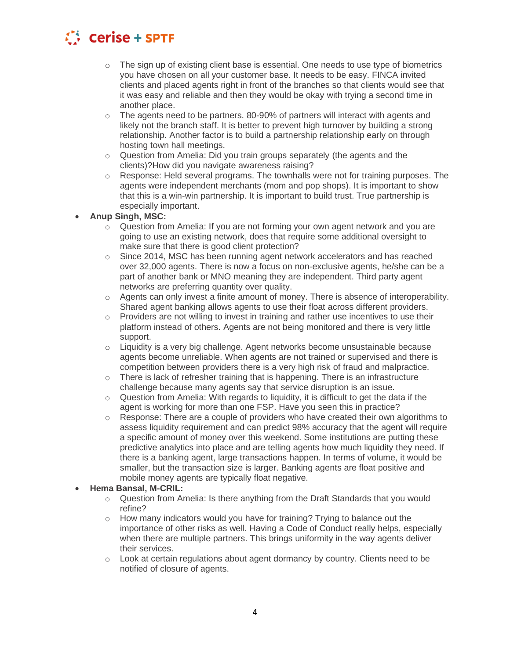

- $\circ$  The sign up of existing client base is essential. One needs to use type of biometrics you have chosen on all your customer base. It needs to be easy. FINCA invited clients and placed agents right in front of the branches so that clients would see that it was easy and reliable and then they would be okay with trying a second time in another place.
- $\circ$  The agents need to be partners. 80-90% of partners will interact with agents and likely not the branch staff. It is better to prevent high turnover by building a strong relationship. Another factor is to build a partnership relationship early on through hosting town hall meetings.
- $\circ$  Question from Amelia: Did you train groups separately (the agents and the clients)?How did you navigate awareness raising?
- $\circ$  Response: Held several programs. The townhalls were not for training purposes. The agents were independent merchants (mom and pop shops). It is important to show that this is a win-win partnership. It is important to build trust. True partnership is especially important.
- **Anup Singh, MSC:**
	- $\circ$  Question from Amelia: If you are not forming your own agent network and you are going to use an existing network, does that require some additional oversight to make sure that there is good client protection?
	- $\circ$  Since 2014, MSC has been running agent network accelerators and has reached over 32,000 agents. There is now a focus on non-exclusive agents, he/she can be a part of another bank or MNO meaning they are independent. Third party agent networks are preferring quantity over quality.
	- $\circ$  Agents can only invest a finite amount of money. There is absence of interoperability. Shared agent banking allows agents to use their float across different providers.
	- $\circ$  Providers are not willing to invest in training and rather use incentives to use their platform instead of others. Agents are not being monitored and there is very little support.
	- $\circ$  Liquidity is a very big challenge. Agent networks become unsustainable because agents become unreliable. When agents are not trained or supervised and there is competition between providers there is a very high risk of fraud and malpractice.
	- $\circ$  There is lack of refresher training that is happening. There is an infrastructure challenge because many agents say that service disruption is an issue.
	- $\circ$  Question from Amelia: With regards to liquidity, it is difficult to get the data if the agent is working for more than one FSP. Have you seen this in practice?
	- $\circ$  Response: There are a couple of providers who have created their own algorithms to assess liquidity requirement and can predict 98% accuracy that the agent will require a specific amount of money over this weekend. Some institutions are putting these predictive analytics into place and are telling agents how much liquidity they need. If there is a banking agent, large transactions happen. In terms of volume, it would be smaller, but the transaction size is larger. Banking agents are float positive and mobile money agents are typically float negative.
- **Hema Bansal, M-CRIL:**
	- $\circ$  Question from Amelia: Is there anything from the Draft Standards that you would refine?
	- $\circ$  How many indicators would you have for training? Trying to balance out the importance of other risks as well. Having a Code of Conduct really helps, especially when there are multiple partners. This brings uniformity in the way agents deliver their services.
	- o Look at certain regulations about agent dormancy by country. Clients need to be notified of closure of agents.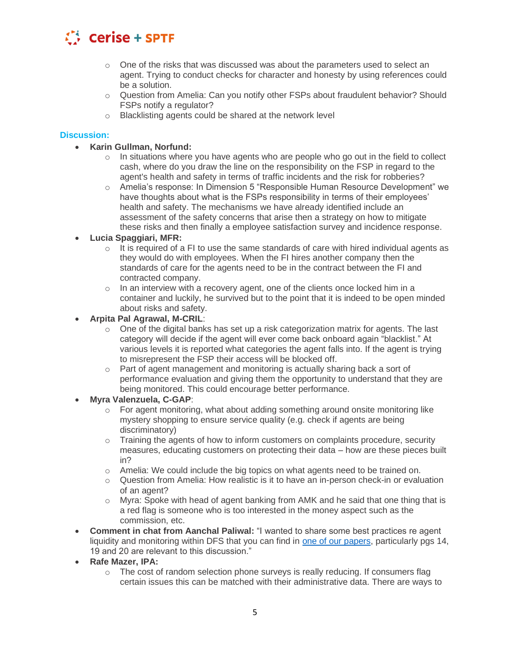

- $\circ$  One of the risks that was discussed was about the parameters used to select an agent. Trying to conduct checks for character and honesty by using references could be a solution.
- o Question from Amelia: Can you notify other FSPs about fraudulent behavior? Should FSPs notify a regulator?
- o Blacklisting agents could be shared at the network level

#### **Discussion:**

- **Karin Gullman, Norfund:**
	- $\circ$  In situations where you have agents who are people who go out in the field to collect cash, where do you draw the line on the responsibility on the FSP in regard to the agent's health and safety in terms of traffic incidents and the risk for robberies?
	- o Amelia's response: In Dimension 5 "Responsible Human Resource Development" we have thoughts about what is the FSPs responsibility in terms of their employees' health and safety. The mechanisms we have already identified include an assessment of the safety concerns that arise then a strategy on how to mitigate these risks and then finally a employee satisfaction survey and incidence response.

#### • **Lucia Spaggiari, MFR:**

- $\circ$  It is required of a FI to use the same standards of care with hired individual agents as they would do with employees. When the FI hires another company then the standards of care for the agents need to be in the contract between the FI and contracted company.
- $\circ$  In an interview with a recovery agent, one of the clients once locked him in a container and luckily, he survived but to the point that it is indeed to be open minded about risks and safety.
- **Arpita Pal Agrawal, M-CRIL**:
	- $\circ$  One of the digital banks has set up a risk categorization matrix for agents. The last category will decide if the agent will ever come back onboard again "blacklist." At various levels it is reported what categories the agent falls into. If the agent is trying to misrepresent the FSP their access will be blocked off.
	- $\circ$  Part of agent management and monitoring is actually sharing back a sort of performance evaluation and giving them the opportunity to understand that they are being monitored. This could encourage better performance.
- **Myra Valenzuela, C-GAP**:
	- $\circ$  For agent monitoring, what about adding something around onsite monitoring like mystery shopping to ensure service quality (e.g. check if agents are being discriminatory)
	- $\circ$  Training the agents of how to inform customers on complaints procedure, security measures, educating customers on protecting their data – how are these pieces built in?
	- $\circ$  Amelia: We could include the big topics on what agents need to be trained on.
	- o Question from Amelia: How realistic is it to have an in-person check-in or evaluation of an agent?
	- $\circ$  Myra: Spoke with head of agent banking from AMK and he said that one thing that is a red flag is someone who is too interested in the money aspect such as the commission, etc.
- **Comment in chat from Aanchal Paliwal:** "I wanted to share some best practices re agent liquidity and monitoring within DFS that you can find in [one of our papers,](https://www.gsma.com/mobilefordevelopment/wp-content/uploads/2018/07/Distribution-2.0-The-future-of-mobile-money-agent-distribution-networks-1.pdf) particularly pgs 14, 19 and 20 are relevant to this discussion."
- **Rafe Mazer, IPA:**
	- o The cost of random selection phone surveys is really reducing. If consumers flag certain issues this can be matched with their administrative data. There are ways to